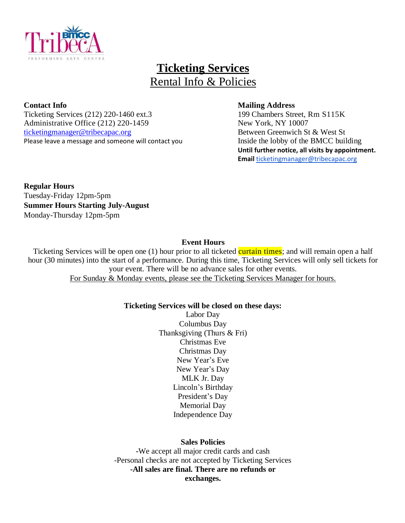

# **Ticketing Services** Rental Info & Policies

Ticketing Services (212) 220-1460 ext.3 199 Chambers Street, Rm S115K Administrative Office (212) 220-1459 New York, NY 10007 <ticketingmanager@tribecapac.org> Between Greenwich St & West St Please leave a message and someone will contact yo[u](mailto:ticketingmanager@tribecapac.org) Inside the lobby of the BMCC building

#### **Contact Info Mailing Address**

**Until further notice, all visits by appointment. Email** [ticketingmanager@tribecapac.org](mailto:ticketingmanager@tribecapac.org)

**Regular Hours** Tuesday-Friday 12pm-5pm **Summer Hours Starting July-August** Monday-Thursday 12pm-5pm

## **Event Hours**

Ticketing Services will be open one (1) hour prior to all ticketed curtain times; and will remain open a half hour (30 minutes) into the start of a performance. During this time, Ticketing Services will only sell tickets for your event. There will be no advance sales for other events. For Sunday & Monday events, please see the Ticketing Services Manager for hours.

## **Ticketing Services will be closed on these days:**

Labor Day Columbus Day Thanksgiving (Thurs & Fri) Christmas Eve Christmas Day New Year's Eve New Year's Day MLK Jr. Day Lincoln's Birthday President's Day Memorial Day Independence Day

## **Sales Policies**

**-**We accept all major credit cards and cash -Personal checks are not accepted by Ticketing Services **-All sales are final. There are no refunds or exchanges.**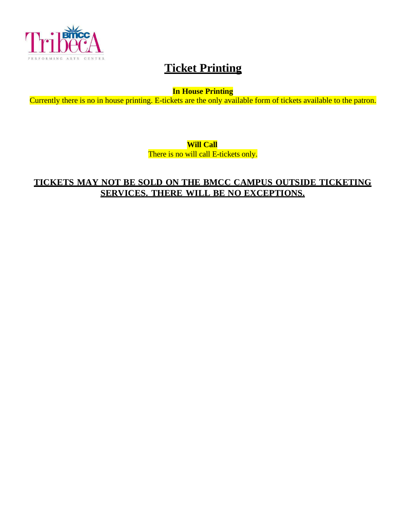

# **Ticket Printing**

**In House Printing**

Currently there is no in house printing. E-tickets are the only available form of tickets available to the patron.

**Will Call**

There is no will call E-tickets only.

## **TICKETS MAY NOT BE SOLD ON THE BMCC CAMPUS OUTSIDE TICKETING SERVICES. THERE WILL BE NO EXCEPTIONS.**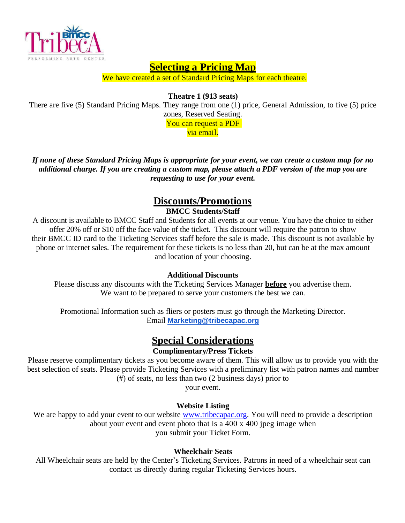

## **Selecting a Pricing Map**

We have created a set of Standard Pricing Maps for each theatre.

**Theatre 1 (913 seats)**

There are five (5) Standard Pricing Maps. They range from one (1) price, General Admission, to five (5) price zones, Reserved Seating. You can request a PDF

via email.

If none of these Standard Pricing Maps is appropriate for your event, we can create a custom map for no additional charge. If you are creating a custom map, please attach a PDF version of the map you are *requesting to use for your event.*

## **Discounts/Promotions BMCC Students/Staff**

A discount is available to BMCC Staff and Students for all events at our venue. You have the choice to either offer 20% off or \$10 off the face value of the ticket. This discount will require the patron to show their BMCC ID card to the Ticketing Services staff before the sale is made. This discount is not available by phone or internet sales. The requirement for these tickets is no less than 20, but can be at the max amount and location of your choosing.

## **Additional Discounts**

Please discuss any discounts with the Ticketing Services Manager **before** you advertise them. We want to be prepared to serve your customers the best we can.

Promotional Information such as fliers or posters must go through the Marketing Director. Email **[Marketing@tribecapac.org](mailto:Marketing@tribecapac.org)**

## **Special Considerations**

## **Complimentary/Press Tickets**

Please reserve complimentary tickets as you become aware of them. This will allow us to provide you with the best selection of seats. Please provide Ticketing Services with a preliminary list with patron names and number (#) of seats, no less than two (2 business days) prior to

your event.

## **Website Listing**

We are happy to add your event to our website [www.tribecapac.org.](http://www.tribecapac.org/) You will need to provide a description about your event and event photo that is a 400 x 400 jpeg image when you submit your Ticket Form.

## **Wheelchair Seats**

All Wheelchair seats are held by the Center's Ticketing Services. Patrons in need of a wheelchair seat can contact us directly during regular Ticketing Services hours.